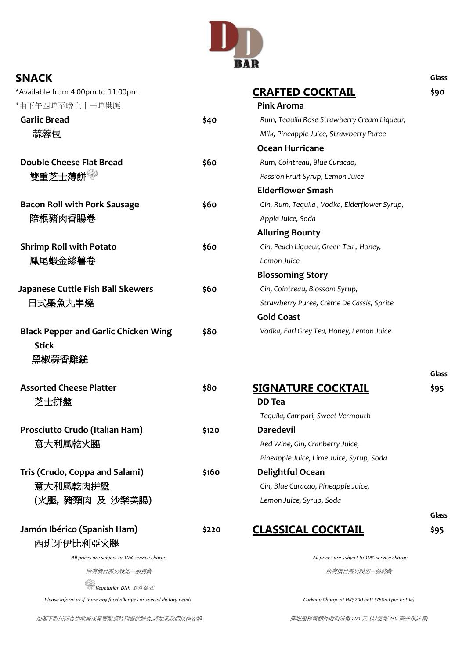

| <b>SNACK</b>                                                           |       |                                                         | <b>Glass</b> |
|------------------------------------------------------------------------|-------|---------------------------------------------------------|--------------|
| *Available from 4:00pm to 11:00pm                                      |       | <u>CRAFTED COCKTAIL</u>                                 | \$90         |
| *由下午四時至晚上十一時供應                                                         |       | <b>Pink Aroma</b>                                       |              |
| <b>Garlic Bread</b>                                                    | \$40  | Rum, Tequila Rose Strawberry Cream Liqueur,             |              |
| 蒜蓉包                                                                    |       | Milk, Pineapple Juice, Strawberry Puree                 |              |
|                                                                        |       | <b>Ocean Hurricane</b>                                  |              |
| <b>Double Cheese Flat Bread</b>                                        | \$60  | Rum, Cointreau, Blue Curacao,                           |              |
| 雙重芝士薄餅                                                                 |       | Passion Fruit Syrup, Lemon Juice                        |              |
|                                                                        |       | <b>Elderflower Smash</b>                                |              |
| <b>Bacon Roll with Pork Sausage</b>                                    | \$60  | Gin, Rum, Tequila, Vodka, Elderflower Syrup,            |              |
| 陪根豬肉香腸卷                                                                |       | Apple Juice, Soda                                       |              |
|                                                                        |       | <b>Alluring Bounty</b>                                  |              |
| <b>Shrimp Roll with Potato</b>                                         | \$60  | Gin, Peach Liqueur, Green Tea, Honey,                   |              |
| 鳳尾蝦金絲薯卷                                                                |       | Lemon Juice                                             |              |
|                                                                        |       | <b>Blossoming Story</b>                                 |              |
| <b>Japanese Cuttle Fish Ball Skewers</b>                               | \$60  | Gin, Cointreau, Blossom Syrup,                          |              |
| 日式墨魚丸串燒                                                                |       | Strawberry Puree, Crème De Cassis, Sprite               |              |
|                                                                        |       | <b>Gold Coast</b>                                       |              |
| <b>Black Pepper and Garlic Chicken Wing</b><br><b>Stick</b>            | \$80  | Vodka, Earl Grey Tea, Honey, Lemon Juice                |              |
| 黑椒蒜香雞鎚                                                                 |       |                                                         |              |
| <b>Assorted Cheese Platter</b>                                         | \$80  | <b>SIGNATURE COCKTAIL</b>                               | <b>Glass</b> |
| 芝士拼盤                                                                   |       | <b>DD</b> Tea                                           | \$95         |
|                                                                        |       | Tequila, Campari, Sweet Vermouth                        |              |
| Prosciutto Crudo (Italian Ham)                                         |       | <b>Daredevil</b>                                        |              |
| 意大利風乾火腿                                                                | \$120 | Red Wine, Gin, Cranberry Juice,                         |              |
|                                                                        |       |                                                         |              |
|                                                                        |       | Pineapple Juice, Lime Juice, Syrup, Soda                |              |
| Tris (Crudo, Coppa and Salami)<br>意大利風乾肉拼盤                             | \$160 | Delightful Ocean<br>Gin, Blue Curacao, Pineapple Juice, |              |
|                                                                        |       |                                                         |              |
| (火腿,豬頸肉 及 沙樂美腸)                                                        |       | Lemon Juice, Syrup, Soda                                |              |
|                                                                        |       |                                                         | Glass        |
| Jamón Ibérico (Spanish Ham)                                            | \$220 | <u>CLASSICAL COCKTAIL</u>                               | \$95         |
| 西班牙伊比利亞火腿                                                              |       |                                                         |              |
| All prices are subject to 10% service charge                           |       | All prices are subject to 10% service charge            |              |
| 所有價目需另設加一服務費                                                           |       | 所有價目需另設加一服務費                                            |              |
| Vegetarian Dish 素食菜式                                                   |       |                                                         |              |
| Please inform us if there any food allergies or special dietary needs. |       | Corkage Charge at HK\$200 nett (750ml per bottle)       |              |

如閣下對任何食物敏感或需要點選特別餐飲膳食,請知悉我們以作安排 有一次的 有一個 我的 网络花粉需額外收取港幣 200 元 (以每瓶 750 毫升作計算)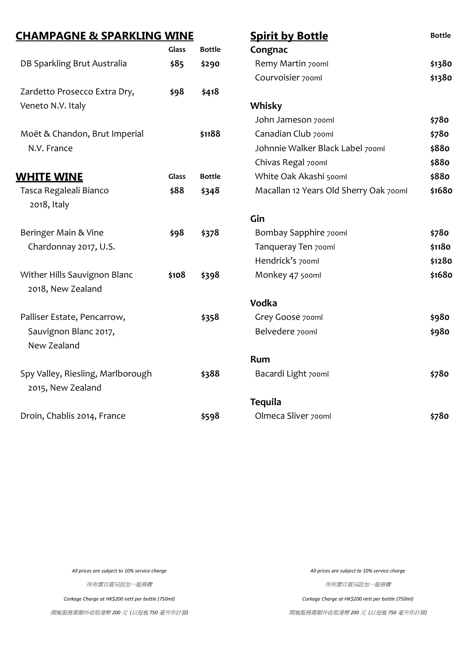| <b>CHAMPAGNE &amp; SPARKLING WINE</b> |              |               | <b>Spirit by Bottle</b>                | <b>Bottle</b> |
|---------------------------------------|--------------|---------------|----------------------------------------|---------------|
|                                       | Glass        | <b>Bottle</b> | Congnac                                |               |
| DB Sparkling Brut Australia           | \$85         | \$290         | Remy Martin 700ml                      | \$1380        |
|                                       |              |               | Courvoisier 700ml                      | \$1380        |
| Zardetto Prosecco Extra Dry,          | \$98         | \$418         |                                        |               |
| Veneto N.V. Italy                     |              |               | Whisky                                 |               |
|                                       |              |               | John Jameson 700ml                     | \$780         |
| Moët & Chandon, Brut Imperial         |              | \$1188        | Canadian Club 700ml                    | \$780         |
| N.V. France                           |              |               | Johnnie Walker Black Label 700ml       | \$880         |
|                                       |              |               | Chivas Regal 700ml                     | \$880         |
| <b>WHITE WINE</b>                     | <b>Glass</b> | <b>Bottle</b> | White Oak Akashi 500ml                 | \$880         |
| Tasca Regaleali Bianco                | \$88         | \$348         | Macallan 12 Years Old Sherry Oak 700ml | \$1680        |
| 2018, Italy                           |              |               |                                        |               |
|                                       |              |               | Gin                                    |               |
| Beringer Main & Vine                  | \$98         | \$378         | Bombay Sapphire 700ml                  | \$780         |
| Chardonnay 2017, U.S.                 |              |               | Tanqueray Ten 700ml                    | \$1180        |
|                                       |              |               | Hendrick's 700ml                       | \$1280        |
| Wither Hills Sauvignon Blanc          | \$108        | \$398         | Monkey 47 500ml                        | \$1680        |
| 2018, New Zealand                     |              |               |                                        |               |
|                                       |              |               | Vodka                                  |               |
| Palliser Estate, Pencarrow,           |              | \$358         | Grey Goose 700ml                       | \$980         |
| Sauvignon Blanc 2017,                 |              |               | Belvedere 700ml                        | \$980         |
| New Zealand                           |              |               |                                        |               |
|                                       |              |               | Rum                                    |               |
| Spy Valley, Riesling, Marlborough     |              | \$388         | Bacardi Light 700ml                    | \$780         |
| 2015, New Zealand                     |              |               |                                        |               |
|                                       |              |               | <b>Tequila</b>                         |               |
| Droin, Chablis 2014, France           |              | \$598         | Olmeca Sliver 700ml                    | \$780         |

所有價目需另設加一服務費 商品工程 (所有價目需另設加一服務費

*Corkage Charge at HK\$200 nett per bottle (750ml) Corkage Charge at HK\$200 nett per bottle (750ml)*

開瓶服務需額外收取港幣 *200* 元 *(*以每瓶 *750* 毫升作計算*)* 開瓶服務需額外收取港幣 *200* 元 *(*以每瓶 *750* 毫升作計算*)*

*All prices are subject to 10% service charge All prices are subject to 10% service charge*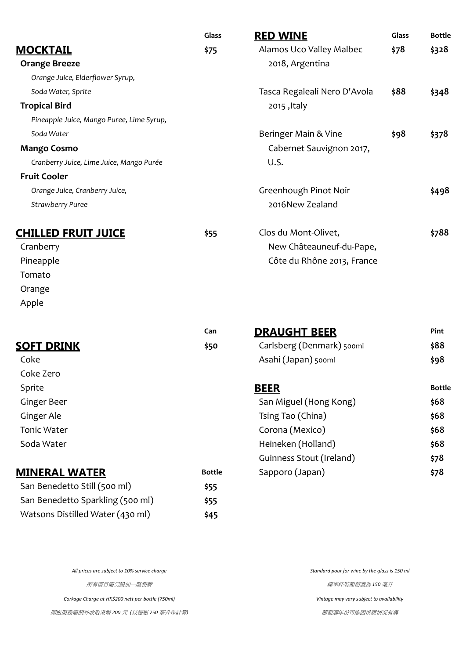|                                           | Glass         | <b>RED WINE</b>              | Glass | <b>Bottle</b> |
|-------------------------------------------|---------------|------------------------------|-------|---------------|
| <b>MOCKTAIL</b>                           | \$75          | Alamos Uco Valley Malbec     | \$78  | \$328         |
| <b>Orange Breeze</b>                      |               | 2018, Argentina              |       |               |
| Orange Juice, Elderflower Syrup,          |               |                              |       |               |
| Soda Water, Sprite                        |               | Tasca Regaleali Nero D'Avola | \$88  | \$348         |
| <b>Tropical Bird</b>                      |               | 2015, Italy                  |       |               |
| Pineapple Juice, Mango Puree, Lime Syrup, |               |                              |       |               |
| Soda Water                                |               | Beringer Main & Vine         | \$98  | \$378         |
| <b>Mango Cosmo</b>                        |               | Cabernet Sauvignon 2017,     |       |               |
| Cranberry Juice, Lime Juice, Mango Purée  |               | U.S.                         |       |               |
| <b>Fruit Cooler</b>                       |               |                              |       |               |
| Orange Juice, Cranberry Juice,            |               | Greenhough Pinot Noir        |       | \$498         |
| <b>Strawberry Puree</b>                   |               | 2016New Zealand              |       |               |
| <b>CHILLED FRUIT JUICE</b>                | \$55          | Clos du Mont-Olivet,         |       | \$788         |
| Cranberry                                 |               | New Châteauneuf-du-Pape,     |       |               |
| Pineapple                                 |               | Côte du Rhône 2013, France   |       |               |
| Tomato                                    |               |                              |       |               |
| Orange                                    |               |                              |       |               |
| Apple                                     |               |                              |       |               |
|                                           | Can           | <b>DRAUGHT BEER</b>          |       | Pint          |
| <b>SOFT DRINK</b>                         | \$50          | Carlsberg (Denmark) 500ml    |       | \$88          |
| Coke                                      |               | Asahi (Japan) 500ml          |       | \$98          |
| Coke Zero                                 |               |                              |       |               |
| Sprite                                    |               | <b>BEER</b>                  |       | <b>Bottle</b> |
| <b>Ginger Beer</b>                        |               | San Miguel (Hong Kong)       |       | \$68          |
| Ginger Ale                                |               | Tsing Tao (China)            |       | \$68          |
| <b>Tonic Water</b>                        |               | Corona (Mexico)              |       | \$68          |
| Soda Water                                |               | Heineken (Holland)           |       | \$68          |
|                                           |               | Guinness Stout (Ireland)     |       | \$78          |
| <b>MINERAL WATER</b>                      | <b>Bottle</b> | Sapporo (Japan)              |       | \$78          |

| San Benedetto Still (500 ml)     | \$55 |
|----------------------------------|------|
| San Benedetto Sparkling (500 ml) | \$55 |
| Watsons Distilled Water (430 ml) | \$45 |

*All prices are subject to 10% service charge Standard pour for wine by the glass is 150 ml*

所有價目需另設加一服務費 **Manager (1999) State State (1999) State (1999) State (1999) State (1999) State (1999) State (1999)** 

*Corkage Charge at HK\$200 nett per bottle (750ml) Vintage may vary subject to availability*

開瓶服務需額外收取港幣 *200* 元 *(*以每瓶 *750* 毫升作計算*)* 葡萄酒年份可能因供應情況有異